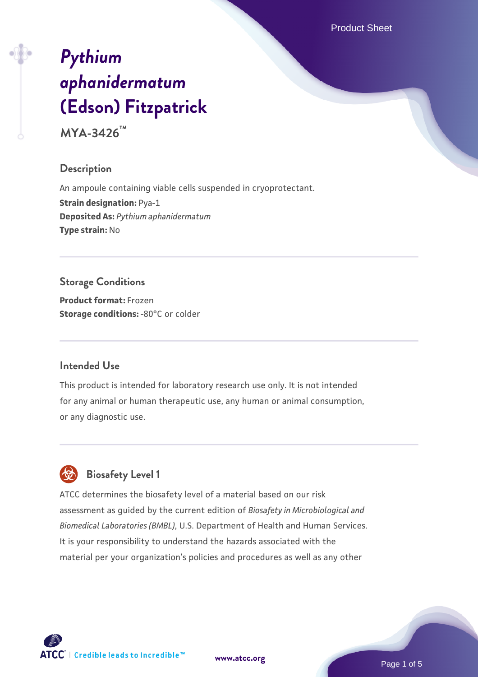Product Sheet

# *[Pythium](https://www.atcc.org/products/mya-3426) [aphanidermatum](https://www.atcc.org/products/mya-3426)* **[\(Edson\) Fitzpatrick](https://www.atcc.org/products/mya-3426)**

**MYA-3426™**

# **Description**

An ampoule containing viable cells suspended in cryoprotectant. **Strain designation: Pya-1 Deposited As:** *Pythium aphanidermatum* **Type strain:** No

# **Storage Conditions**

**Product format:** Frozen **Storage conditions: -80°C** or colder

# **Intended Use**

This product is intended for laboratory research use only. It is not intended for any animal or human therapeutic use, any human or animal consumption, or any diagnostic use.



# **Biosafety Level 1**

ATCC determines the biosafety level of a material based on our risk assessment as guided by the current edition of *Biosafety in Microbiological and Biomedical Laboratories (BMBL)*, U.S. Department of Health and Human Services. It is your responsibility to understand the hazards associated with the material per your organization's policies and procedures as well as any other

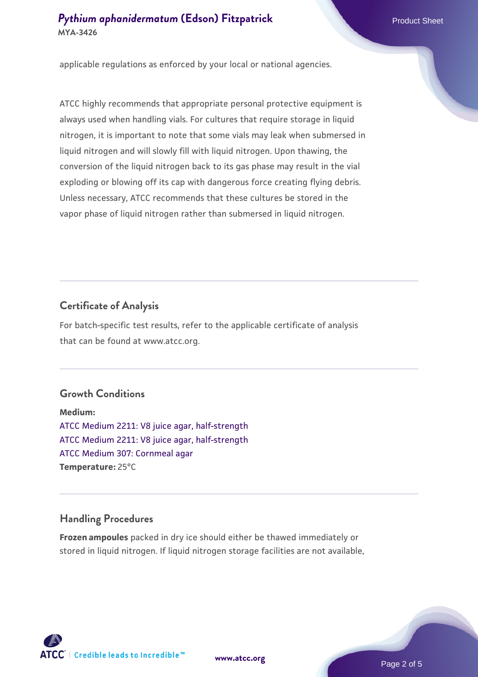# **[Pythium aphanidermatum](https://www.atcc.org/products/mya-3426) [\(Edson\) Fitzpatrick](https://www.atcc.org/products/mya-3426)** Product Sheet **MYA-3426**

applicable regulations as enforced by your local or national agencies.

ATCC highly recommends that appropriate personal protective equipment is always used when handling vials. For cultures that require storage in liquid nitrogen, it is important to note that some vials may leak when submersed in liquid nitrogen and will slowly fill with liquid nitrogen. Upon thawing, the conversion of the liquid nitrogen back to its gas phase may result in the vial exploding or blowing off its cap with dangerous force creating flying debris. Unless necessary, ATCC recommends that these cultures be stored in the vapor phase of liquid nitrogen rather than submersed in liquid nitrogen.

#### **Certificate of Analysis**

For batch-specific test results, refer to the applicable certificate of analysis that can be found at www.atcc.org.

#### **Growth Conditions**

**Medium:**  [ATCC Medium 2211: V8 juice agar, half-strength](https://www.atcc.org/-/media/product-assets/documents/microbial-media-formulations/2/2/1/1/atcc-medium-2211.pdf?rev=556c7dd2b94b4c8994eb3adffa660619) [ATCC Medium 2211: V8 juice agar, half-strength](https://www.atcc.org/-/media/product-assets/documents/microbial-media-formulations/2/2/1/1/atcc-medium-2211.pdf?rev=556c7dd2b94b4c8994eb3adffa660619) [ATCC Medium 307: Cornmeal agar](https://www.atcc.org/-/media/product-assets/documents/microbial-media-formulations/3/0/7/atcc-medium-307.pdf?rev=5cd8aaa5fcde44f5873396cc2a06f590) **Temperature:** 25°C

## **Handling Procedures**

**Frozen ampoules** packed in dry ice should either be thawed immediately or stored in liquid nitrogen. If liquid nitrogen storage facilities are not available,

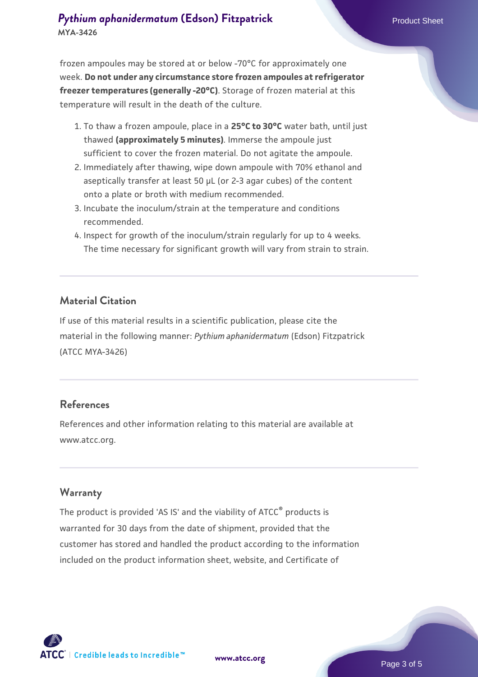# **[Pythium aphanidermatum](https://www.atcc.org/products/mya-3426) [\(Edson\) Fitzpatrick](https://www.atcc.org/products/mya-3426)** Product Sheet **MYA-3426**

frozen ampoules may be stored at or below -70°C for approximately one week. **Do not under any circumstance store frozen ampoules at refrigerator freezer temperatures (generally -20°C)**. Storage of frozen material at this temperature will result in the death of the culture.

- 1. To thaw a frozen ampoule, place in a **25°C to 30°C** water bath, until just thawed **(approximately 5 minutes)**. Immerse the ampoule just sufficient to cover the frozen material. Do not agitate the ampoule.
- 2. Immediately after thawing, wipe down ampoule with 70% ethanol and aseptically transfer at least 50 µL (or 2-3 agar cubes) of the content onto a plate or broth with medium recommended.
- 3. Incubate the inoculum/strain at the temperature and conditions recommended.
- 4. Inspect for growth of the inoculum/strain regularly for up to 4 weeks. The time necessary for significant growth will vary from strain to strain.

## **Material Citation**

If use of this material results in a scientific publication, please cite the material in the following manner: *Pythium aphanidermatum* (Edson) Fitzpatrick (ATCC MYA-3426)

# **References**

References and other information relating to this material are available at www.atcc.org.

## **Warranty**

The product is provided 'AS IS' and the viability of ATCC<sup>®</sup> products is warranted for 30 days from the date of shipment, provided that the customer has stored and handled the product according to the information included on the product information sheet, website, and Certificate of



**[www.atcc.org](http://www.atcc.org)**

Page 3 of 5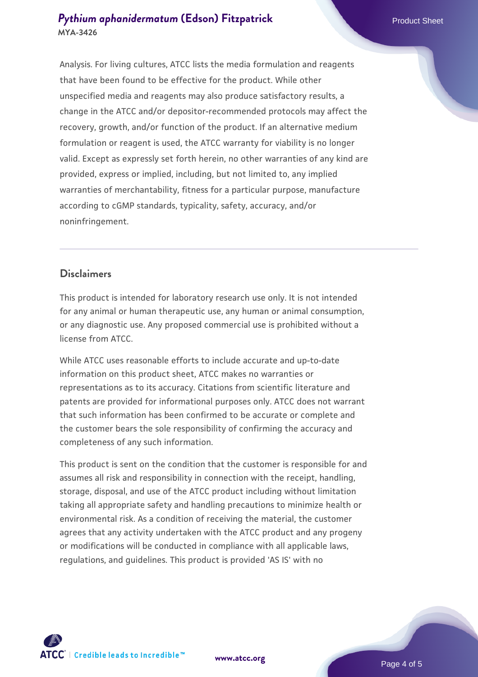# **[Pythium aphanidermatum](https://www.atcc.org/products/mya-3426) [\(Edson\) Fitzpatrick](https://www.atcc.org/products/mya-3426)** Product Sheet **MYA-3426**

Analysis. For living cultures, ATCC lists the media formulation and reagents that have been found to be effective for the product. While other unspecified media and reagents may also produce satisfactory results, a change in the ATCC and/or depositor-recommended protocols may affect the recovery, growth, and/or function of the product. If an alternative medium formulation or reagent is used, the ATCC warranty for viability is no longer valid. Except as expressly set forth herein, no other warranties of any kind are provided, express or implied, including, but not limited to, any implied warranties of merchantability, fitness for a particular purpose, manufacture according to cGMP standards, typicality, safety, accuracy, and/or noninfringement.

# **Disclaimers**

This product is intended for laboratory research use only. It is not intended for any animal or human therapeutic use, any human or animal consumption, or any diagnostic use. Any proposed commercial use is prohibited without a license from ATCC.

While ATCC uses reasonable efforts to include accurate and up-to-date information on this product sheet, ATCC makes no warranties or representations as to its accuracy. Citations from scientific literature and patents are provided for informational purposes only. ATCC does not warrant that such information has been confirmed to be accurate or complete and the customer bears the sole responsibility of confirming the accuracy and completeness of any such information.

This product is sent on the condition that the customer is responsible for and assumes all risk and responsibility in connection with the receipt, handling, storage, disposal, and use of the ATCC product including without limitation taking all appropriate safety and handling precautions to minimize health or environmental risk. As a condition of receiving the material, the customer agrees that any activity undertaken with the ATCC product and any progeny or modifications will be conducted in compliance with all applicable laws, regulations, and guidelines. This product is provided 'AS IS' with no



**[www.atcc.org](http://www.atcc.org)**

Page 4 of 5